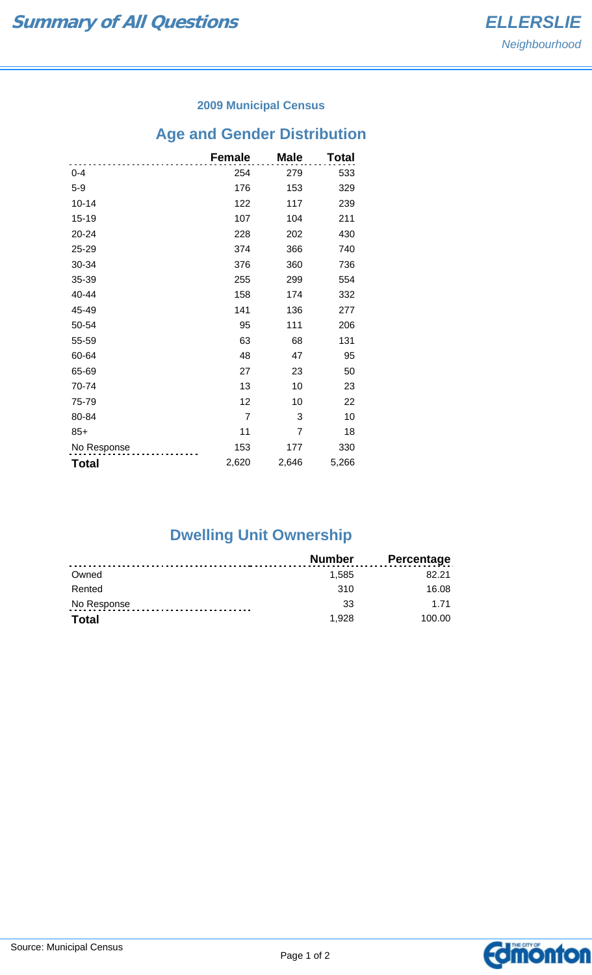#### **2009 Municipal Census**

# **Age and Gender Distribution**

|              | <b>Female</b>  | <b>Male</b>    | Total |
|--------------|----------------|----------------|-------|
| $0 - 4$      | 254            | 279            | 533   |
| $5-9$        | 176            | 153            | 329   |
| $10 - 14$    | 122            | 117            | 239   |
| 15-19        | 107            | 104            | 211   |
| 20-24        | 228            | 202            | 430   |
| 25-29        | 374            | 366            | 740   |
| 30-34        | 376            | 360            | 736   |
| 35-39        | 255            | 299            | 554   |
| 40-44        | 158            | 174            | 332   |
| 45-49        | 141            | 136            | 277   |
| 50-54        | 95             | 111            | 206   |
| 55-59        | 63             | 68             | 131   |
| 60-64        | 48             | 47             | 95    |
| 65-69        | 27             | 23             | 50    |
| 70-74        | 13             | 10             | 23    |
| 75-79        | 12             | 10             | 22    |
| 80-84        | $\overline{7}$ | 3              | 10    |
| $85+$        | 11             | $\overline{7}$ | 18    |
| No Response  | 153            | 177            | 330   |
| <b>Total</b> | 2,620          | 2,646          | 5,266 |

## **Dwelling Unit Ownership**

|             | <b>Number</b> | <b>Percentage</b> |
|-------------|---------------|-------------------|
| Owned       | 1.585         | 82.21             |
| Rented      | 310           | 16.08             |
| No Response | 33            | 1 71              |
| Total       | 1.928         | 100.00            |